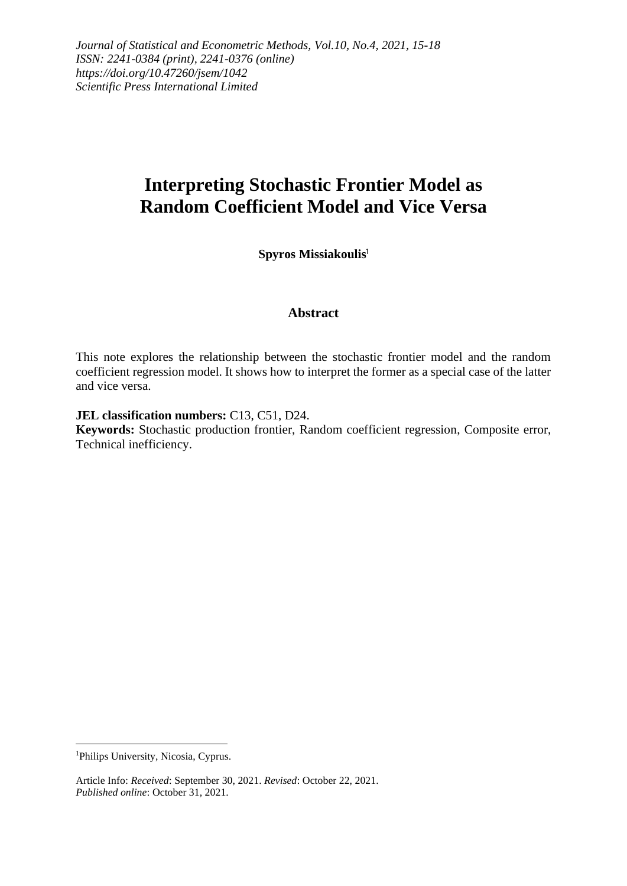# **Interpreting Stochastic Frontier Model as Random Coefficient Model and Vice Versa**

**Spyros Missiakoulis**<sup>1</sup>

### **Abstract**

This note explores the relationship between the stochastic frontier model and the random coefficient regression model. It shows how to interpret the former as a special case of the latter and vice versa.

#### **JEL classification numbers:** C13, C51, D24.

**Keywords:** Stochastic production frontier, Random coefficient regression, Composite error, Technical inefficiency.

<sup>&</sup>lt;sup>1</sup>Philips University, Nicosia, Cyprus.

Article Info: *Received*: September 30, 2021. *Revised*: October 22, 2021. *Published online*: October 31, 2021.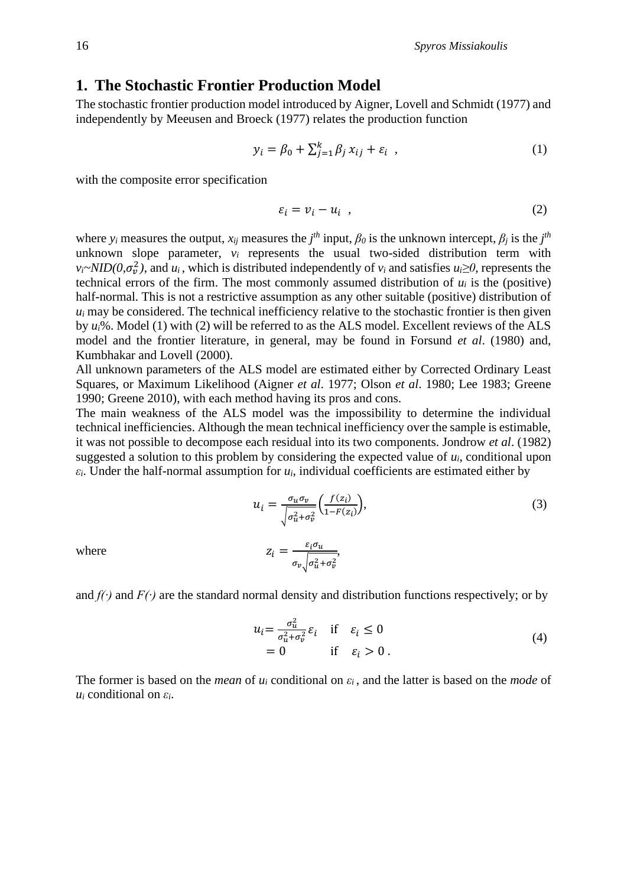### **1. The Stochastic Frontier Production Model**

The stochastic frontier production model introduced by Aigner, Lovell and Schmidt (1977) and independently by Meeusen and Broeck (1977) relates the production function

$$
y_i = \beta_0 + \sum_{j=1}^k \beta_j x_{ij} + \varepsilon_i \tag{1}
$$

with the composite error specification

$$
\varepsilon_i = \nu_i - u_i \quad , \tag{2}
$$

where *y*<sub>i</sub> measures the output,  $x_{ij}$  measures the  $j$ <sup>th</sup> input,  $\beta$ <sup>0</sup> is the unknown intercept,  $\beta$ <sup>*j*</sup> is the  $j$ <sup>th</sup> unknown slope parameter, *v<sup>i</sup>* represents the usual two-sided distribution term with  $v_i \sim NID(0, \sigma_v^2)$ , and  $u_i$ , which is distributed independently of  $v_i$  and satisfies  $u_i \ge 0$ , represents the technical errors of the firm. The most commonly assumed distribution of  $u_i$  is the (positive) half-normal. This is not a restrictive assumption as any other suitable (positive) distribution of  $u_i$  may be considered. The technical inefficiency relative to the stochastic frontier is then given by *ui*%. Model (1) with (2) will be referred to as the ALS model. Excellent reviews of the ALS model and the frontier literature, in general, may be found in Forsund *et al*. (1980) and, Kumbhakar and Lovell (2000).

All unknown parameters of the ALS model are estimated either by Corrected Ordinary Least Squares, or Maximum Likelihood (Aigner *et al*. 1977; Olson *et al*. 1980; Lee 1983; Greene 1990; Greene 2010), with each method having its pros and cons.

The main weakness of the ALS model was the impossibility to determine the individual technical inefficiencies. Although the mean technical inefficiency over the sample is estimable, it was not possible to decompose each residual into its two components. Jondrow *et al*. (1982) suggested a solution to this problem by considering the expected value of *ui*, conditional upon  $\varepsilon_i$ . Under the half-normal assumption for  $u_i$ , individual coefficients are estimated either by

$$
u_i = \frac{\sigma_u \sigma_v}{\sqrt{\sigma_u^2 + \sigma_v^2}} \left(\frac{f(z_i)}{1 - F(z_i)}\right),
$$
  
\n
$$
z_i = \frac{\varepsilon_i \sigma_u}{\sigma_v \sqrt{\sigma_u^2 + \sigma_v^2}},
$$
\n(3)

and *f(∙)* and *F(∙)* are the standard normal density and distribution functions respectively; or by

$$
u_{i} = \frac{\sigma_{u}^{2}}{\sigma_{u}^{2} + \sigma_{v}^{2}} \varepsilon_{i} \quad \text{if} \quad \varepsilon_{i} \le 0
$$
  
= 0 \quad \text{if} \quad \varepsilon\_{i} > 0. \tag{4}

The former is based on the *mean* of *u<sup>i</sup>* conditional on *ε<sup>i</sup>* , and the latter is based on the *mode* of *u<sup>i</sup>* conditional on *εi*.

where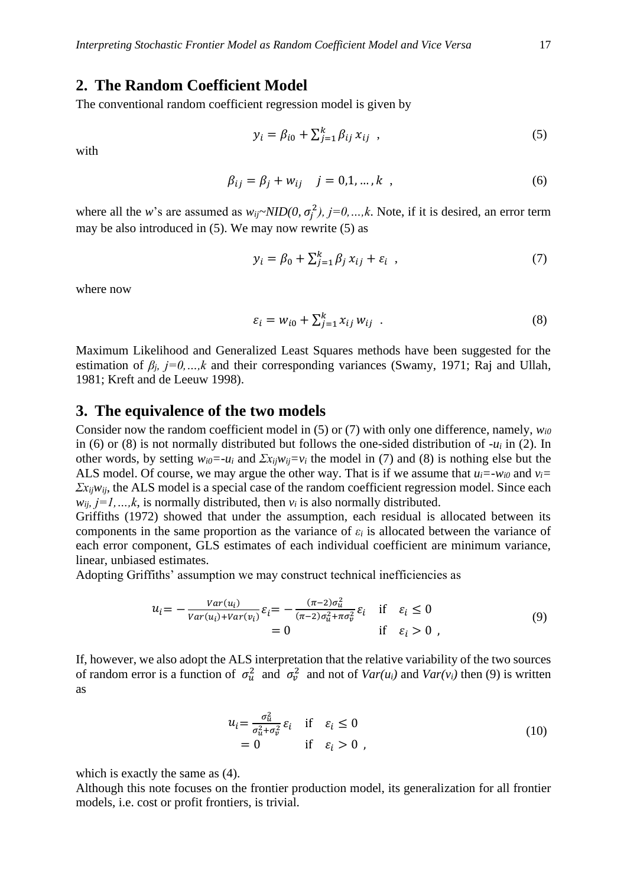# **2. The Random Coefficient Model**

The conventional random coefficient regression model is given by

$$
y_i = \beta_{i0} + \sum_{j=1}^k \beta_{ij} x_{ij} , \qquad (5)
$$

with

$$
\beta_{ij} = \beta_j + w_{ij} \quad j = 0, 1, ..., k \quad , \tag{6}
$$

where all the *w*'s are assumed as  $w_{ij} \sim NID(0, \sigma_j^2)$ ,  $j=0,...,k$ . Note, if it is desired, an error term may be also introduced in (5). We may now rewrite (5) as

$$
y_i = \beta_0 + \sum_{j=1}^k \beta_j x_{ij} + \varepsilon_i \tag{7}
$$

where now

$$
\varepsilon_i = w_{i0} + \sum_{j=1}^k x_{ij} w_{ij} \tag{8}
$$

Maximum Likelihood and Generalized Least Squares methods have been suggested for the estimation of  $\beta_i$ ,  $j=0,...,k$  and their corresponding variances (Swamy, 1971; Raj and Ullah, 1981; Kreft and de Leeuw 1998).

#### **3. The equivalence of the two models**

Consider now the random coefficient model in (5) or (7) with only one difference, namely, *wi0* in (6) or (8) is not normally distributed but follows the one-sided distribution of -*u<sup>i</sup>* in (2). In other words, by setting  $w_{i0} = -u_i$  and  $\sum x_{ii}w_{ii} = v_i$  the model in (7) and (8) is nothing else but the ALS model. Of course, we may argue the other way. That is if we assume that  $u_i = -w_i \cdot \partial$  and  $v_i =$ *Σxijwij*, the ALS model is a special case of the random coefficient regression model. Since each  $w_{ij}$ ,  $j=1,...,k$ , is normally distributed, then  $v_i$  is also normally distributed.

Griffiths (1972) showed that under the assumption, each residual is allocated between its components in the same proportion as the variance of *ε<sup>i</sup>* is allocated between the variance of each error component, GLS estimates of each individual coefficient are minimum variance, linear, unbiased estimates.

Adopting Griffiths' assumption we may construct technical inefficiencies as

$$
u_{i} = -\frac{Var(u_{i})}{Var(u_{i}) + Var(v_{i})} \varepsilon_{i} = -\frac{(\pi - 2)\sigma_{u}^{2}}{(\pi - 2)\sigma_{u}^{2} + \pi\sigma_{v}^{2}} \varepsilon_{i} \quad \text{if} \quad \varepsilon_{i} \le 0
$$
  
= 0 \qquad \qquad \text{if} \quad \varepsilon\_{i} > 0 , \qquad (9)

If, however, we also adopt the ALS interpretation that the relative variability of the two sources of random error is a function of  $\sigma_u^2$  and  $\sigma_v^2$  and not of  $Var(u_i)$  and  $Var(v_i)$  then (9) is written as

$$
u_{i} = \frac{\sigma_{u}^{2}}{\sigma_{u}^{2} + \sigma_{v}^{2}} \varepsilon_{i} \quad \text{if} \quad \varepsilon_{i} \le 0
$$
  
= 0 \quad \text{if} \quad \varepsilon\_{i} > 0 , \tag{10}

which is exactly the same as (4).

Although this note focuses on the frontier production model, its generalization for all frontier models, i.e. cost or profit frontiers, is trivial.